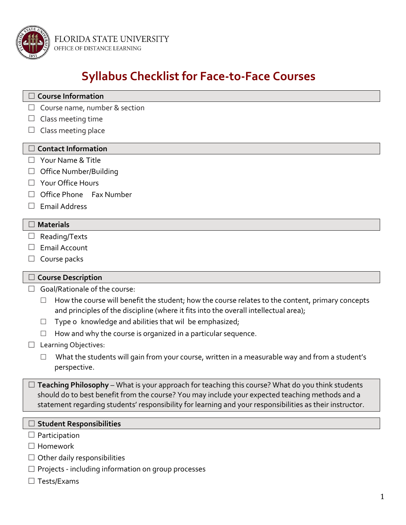

FLORIDA STATE UNIVERSITY OFFICE OF DISTANCE LEARNING

# **Syllabus Checklist for Face-to-Face Courses**

# **Course Information**  $\Box$  Course name, number & section

- $\Box$  Class meeting time
- $\Box$  Class meeting place

### **Contact Information**

- $\Box$  Your Name & Title
- $\Box$  Office Number/Building
- $\Box$  Your Office Hours
- $\Box$  Office Phone Fax Number
- $\Box$  Email Address

#### **Materials**

- $\Box$  Reading/Texts
- $\Box$  Email Account
- $\Box$  Course packs

#### **Course Description**

- $\Box$  Goal/Rationale of the course:
	- $\Box$  How the course will benefit the student; how the course relates to the content, primary concepts and principles of the discipline (where it fits into the overall intellectual area);
	- $\Box$  Type o knowledge and abilities that wil be emphasized;
	- $\Box$  How and why the course is organized in a particular sequence.
- $\Box$  Learning Objectives:
	- $\Box$  What the students will gain from your course, written in a measurable way and from a student's perspective.

 $\Box$  **Teaching Philosophy** – What is your approach for teaching this course? What do you think students should do to best benefit from the course? You may include your expected teaching methods and a statement regarding students' responsibility for learning and your responsibilities as their instructor.

#### **Student Responsibilities**

- $\Box$  Participation
- $\Box$  Homework
- $\Box$  Other daily responsibilities
- $\Box$  Projects including information on group processes
- $\Box$  Tests/Exams